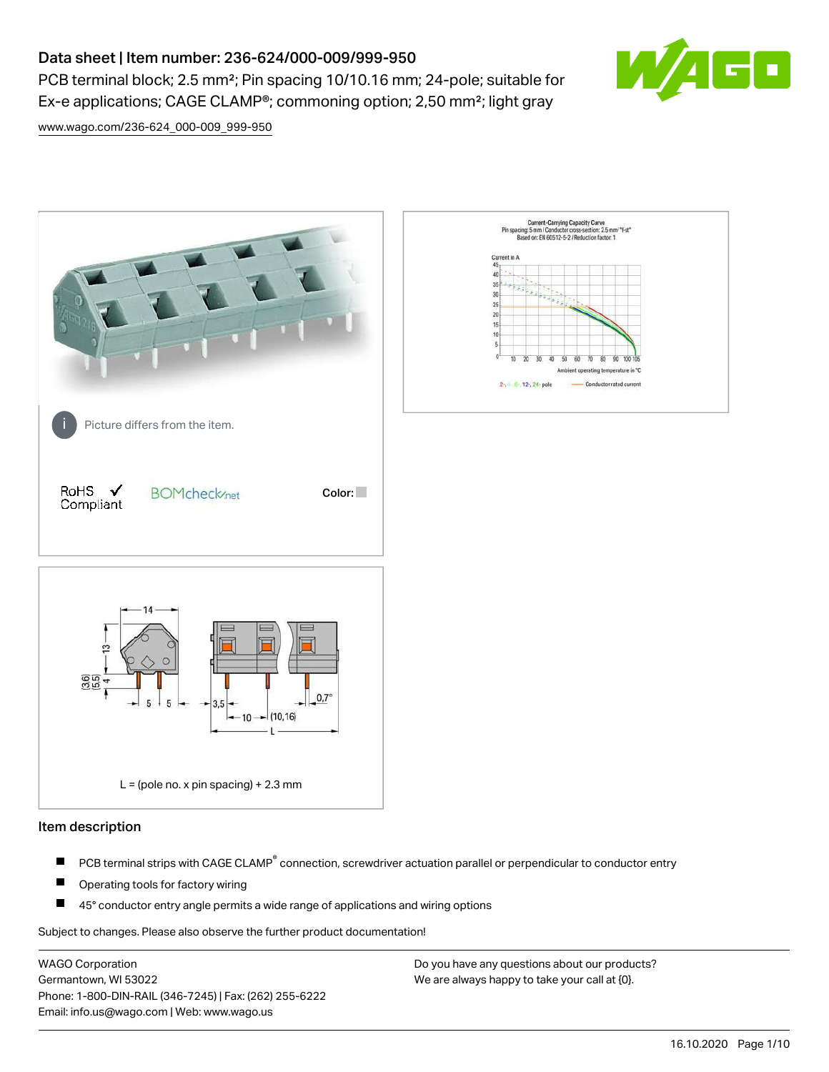# Data sheet | Item number: 236-624/000-009/999-950

PCB terminal block; 2.5 mm<sup>2</sup>; Pin spacing 10/10.16 mm; 24-pole; suitable for Ex-e applications; CAGE CLAMP®; commoning option; 2,50 mm²; light gray



[www.wago.com/236-624\\_000-009\\_999-950](http://www.wago.com/236-624_000-009_999-950)



## Item description

- PCB terminal strips with CAGE CLAMP<sup>®</sup> connection, screwdriver actuation parallel or perpendicular to conductor entry П
- П Operating tools for factory wiring
- П 45° conductor entry angle permits a wide range of applications and wiring options

Subject to changes. Please also observe the further product documentation!

WAGO Corporation Germantown, WI 53022 Phone: 1-800-DIN-RAIL (346-7245) | Fax: (262) 255-6222 Email: info.us@wago.com | Web: www.wago.us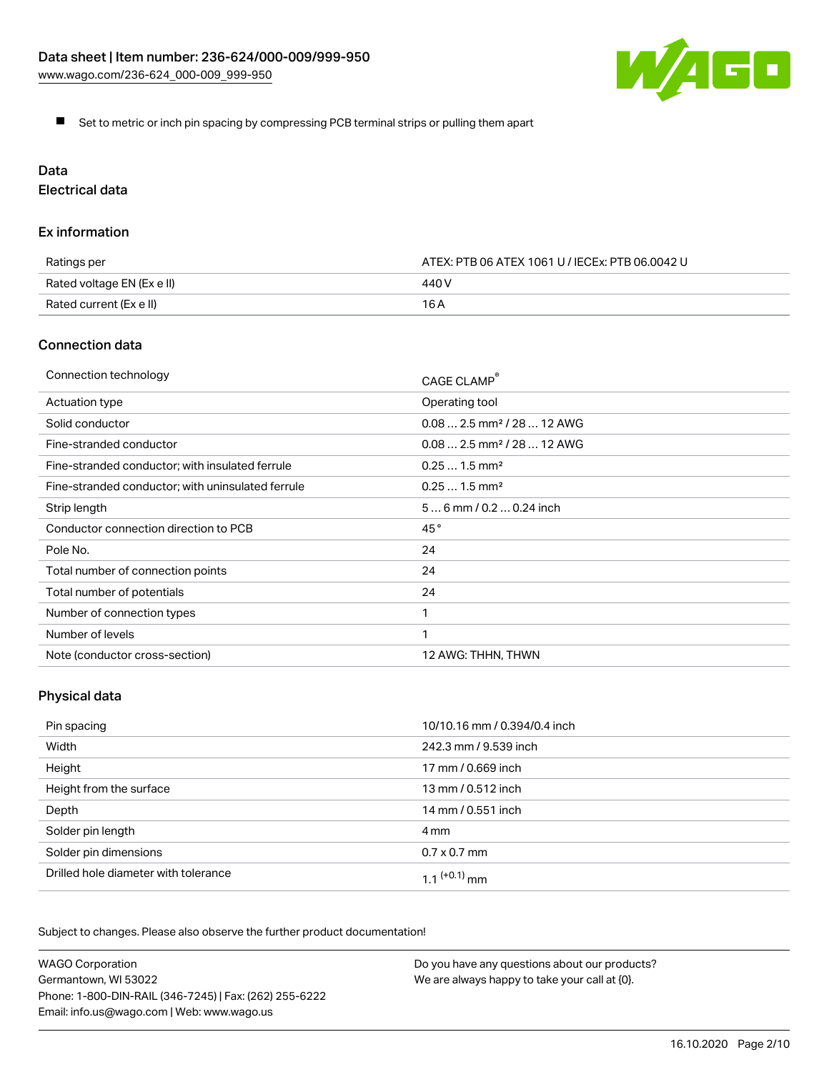

Set to metric or inch pin spacing by compressing PCB terminal strips or pulling them apart

# Data

Electrical data

## Ex information

| Ratings per                | ATEX: PTB 06 ATEX 1061 U / IECEx: PTB 06.0042 U |  |
|----------------------------|-------------------------------------------------|--|
| Rated voltage EN (Ex e II) | 440 V                                           |  |
| Rated current (Ex e II)    | 16 A                                            |  |

## Connection data

| Connection technology                             | CAGE CLAMP <sup>®</sup>                |
|---------------------------------------------------|----------------------------------------|
| Actuation type                                    | Operating tool                         |
| Solid conductor                                   | $0.082.5$ mm <sup>2</sup> / 28  12 AWG |
| Fine-stranded conductor                           | $0.082.5$ mm <sup>2</sup> / 28  12 AWG |
| Fine-stranded conductor; with insulated ferrule   | $0.251.5$ mm <sup>2</sup>              |
| Fine-stranded conductor; with uninsulated ferrule | $0.251.5$ mm <sup>2</sup>              |
| Strip length                                      | $56$ mm / 0.2 $$ 0.24 inch             |
| Conductor connection direction to PCB             | 45°                                    |
| Pole No.                                          | 24                                     |
| Total number of connection points                 | 24                                     |
| Total number of potentials                        | 24                                     |
| Number of connection types                        |                                        |
| Number of levels                                  | 1                                      |
| Note (conductor cross-section)                    | 12 AWG: THHN, THWN                     |

# Physical data

| Pin spacing                          | 10/10.16 mm / 0.394/0.4 inch |
|--------------------------------------|------------------------------|
| Width                                | 242.3 mm / 9.539 inch        |
| Height                               | 17 mm / 0.669 inch           |
| Height from the surface              | 13 mm / 0.512 inch           |
| Depth                                | 14 mm / 0.551 inch           |
| Solder pin length                    | 4 mm                         |
| Solder pin dimensions                | $0.7 \times 0.7$ mm          |
| Drilled hole diameter with tolerance | $1.1$ $(+0.1)$ mm            |

Subject to changes. Please also observe the further product documentation!

| <b>WAGO Corporation</b>                                | Do you have any questions about our products? |
|--------------------------------------------------------|-----------------------------------------------|
| Germantown, WI 53022                                   | We are always happy to take your call at {0}. |
| Phone: 1-800-DIN-RAIL (346-7245)   Fax: (262) 255-6222 |                                               |
| Email: info.us@wago.com   Web: www.wago.us             |                                               |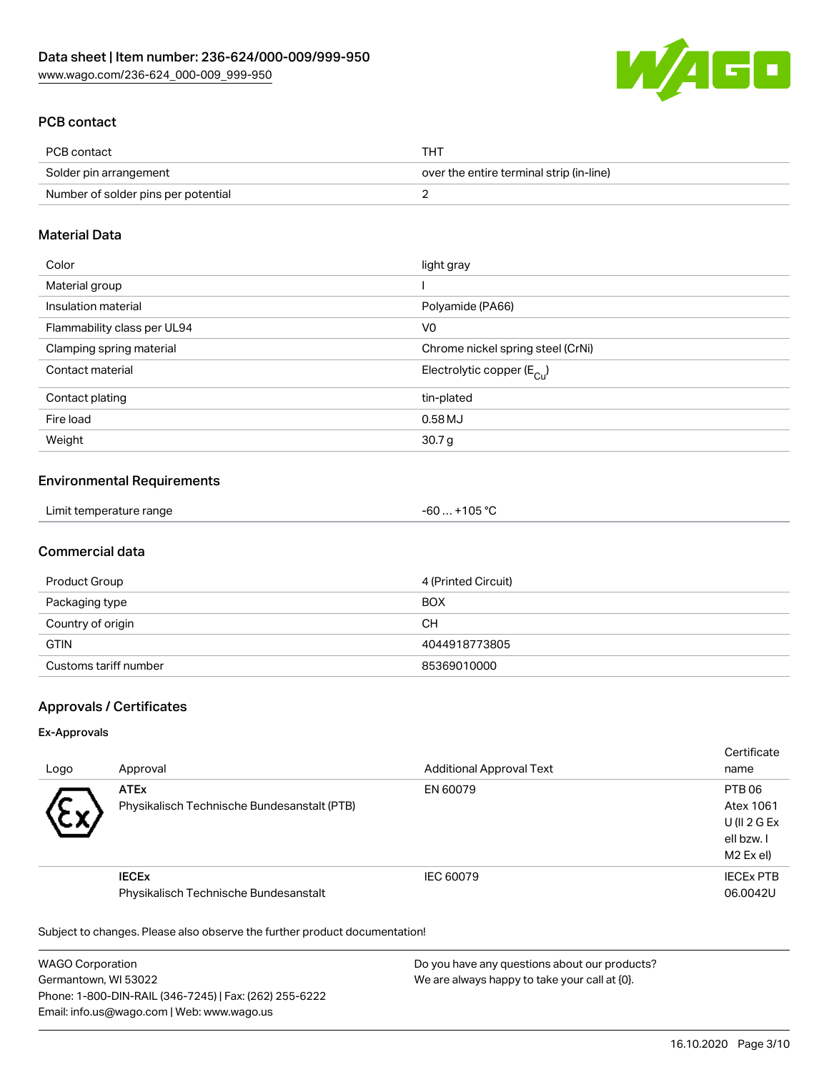

# PCB contact

| PCB contact                         | тнт                                      |
|-------------------------------------|------------------------------------------|
| Solder pin arrangement              | over the entire terminal strip (in-line) |
| Number of solder pins per potential |                                          |

## Material Data

| Color                       | light gray                              |
|-----------------------------|-----------------------------------------|
| Material group              |                                         |
| Insulation material         | Polyamide (PA66)                        |
| Flammability class per UL94 | V <sub>0</sub>                          |
| Clamping spring material    | Chrome nickel spring steel (CrNi)       |
| Contact material            | Electrolytic copper ( $E_{\text{Cu}}$ ) |
| Contact plating             | tin-plated                              |
| Fire load                   | 0.58MJ                                  |
| Weight                      | 30.7 <sub>g</sub>                       |

## Environmental Requirements

# Commercial data

| Product Group         | 4 (Printed Circuit) |
|-----------------------|---------------------|
| Packaging type        | <b>BOX</b>          |
| Country of origin     | CН                  |
| <b>GTIN</b>           | 4044918773805       |
| Customs tariff number | 85369010000         |

# Approvals / Certificates

#### Ex-Approvals

| Logo      | Approval                                                   | <b>Additional Approval Text</b> | Certificate<br>name                                           |
|-----------|------------------------------------------------------------|---------------------------------|---------------------------------------------------------------|
| $\ddot{}$ | <b>ATEx</b><br>Physikalisch Technische Bundesanstalt (PTB) | EN 60079                        | PTB 06<br>Atex 1061<br>U(II 2 G Ex<br>ell bzw. I<br>M2 Ex el) |
|           | <b>IECEX</b><br>Physikalisch Technische Bundesanstalt      | IEC 60079                       | <b>IECEX PTB</b><br>06.0042U                                  |

Subject to changes. Please also observe the further product documentation!

WAGO Corporation Germantown, WI 53022 Phone: 1-800-DIN-RAIL (346-7245) | Fax: (262) 255-6222 Email: info.us@wago.com | Web: www.wago.us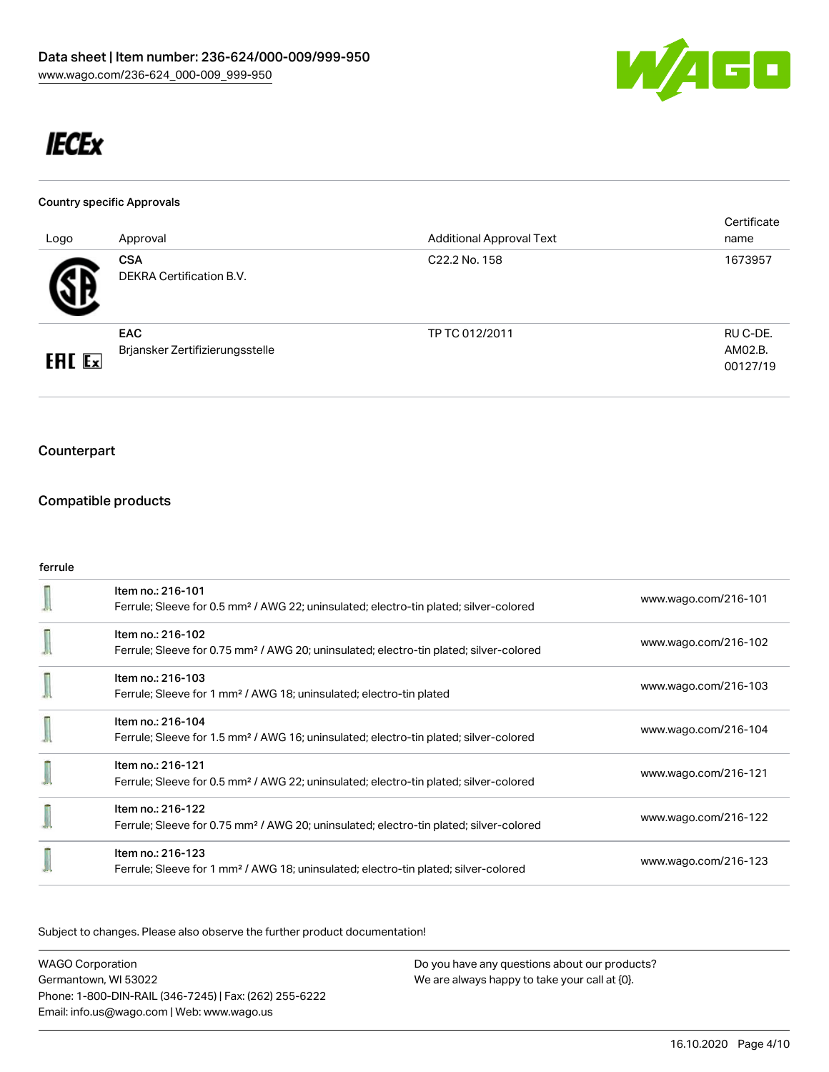

# **IECEx**

#### Country specific Approvals

| Logo          | Approval                                      | <b>Additional Approval Text</b> | Certificate<br>name             |
|---------------|-----------------------------------------------|---------------------------------|---------------------------------|
| 47            | <b>CSA</b><br>DEKRA Certification B.V.        | C22.2 No. 158                   | 1673957                         |
| <b>ERC</b> Ex | <b>EAC</b><br>Brjansker Zertifizierungsstelle | TP TC 012/2011                  | RU C-DE.<br>AM02.B.<br>00127/19 |

# Counterpart

## Compatible products

## ferrule

| Item no.: 216-101<br>Ferrule; Sleeve for 0.5 mm <sup>2</sup> / AWG 22; uninsulated; electro-tin plated; silver-colored  | www.wago.com/216-101 |
|-------------------------------------------------------------------------------------------------------------------------|----------------------|
| Item no.: 216-102<br>Ferrule; Sleeve for 0.75 mm <sup>2</sup> / AWG 20; uninsulated; electro-tin plated; silver-colored | www.wago.com/216-102 |
| Item no.: 216-103<br>Ferrule; Sleeve for 1 mm <sup>2</sup> / AWG 18; uninsulated; electro-tin plated                    | www.wago.com/216-103 |
| Item no.: 216-104<br>Ferrule; Sleeve for 1.5 mm <sup>2</sup> / AWG 16; uninsulated; electro-tin plated; silver-colored  | www.wago.com/216-104 |
| Item no.: 216-121<br>Ferrule; Sleeve for 0.5 mm <sup>2</sup> / AWG 22; uninsulated; electro-tin plated; silver-colored  | www.wago.com/216-121 |
| Item no.: 216-122<br>Ferrule; Sleeve for 0.75 mm <sup>2</sup> / AWG 20; uninsulated; electro-tin plated; silver-colored | www.wago.com/216-122 |
| Item no.: 216-123<br>Ferrule; Sleeve for 1 mm <sup>2</sup> / AWG 18; uninsulated; electro-tin plated; silver-colored    | www.wago.com/216-123 |

Subject to changes. Please also observe the further product documentation!

WAGO Corporation Germantown, WI 53022 Phone: 1-800-DIN-RAIL (346-7245) | Fax: (262) 255-6222 Email: info.us@wago.com | Web: www.wago.us Do you have any questions about our products? We are always happy to take your call at {0}.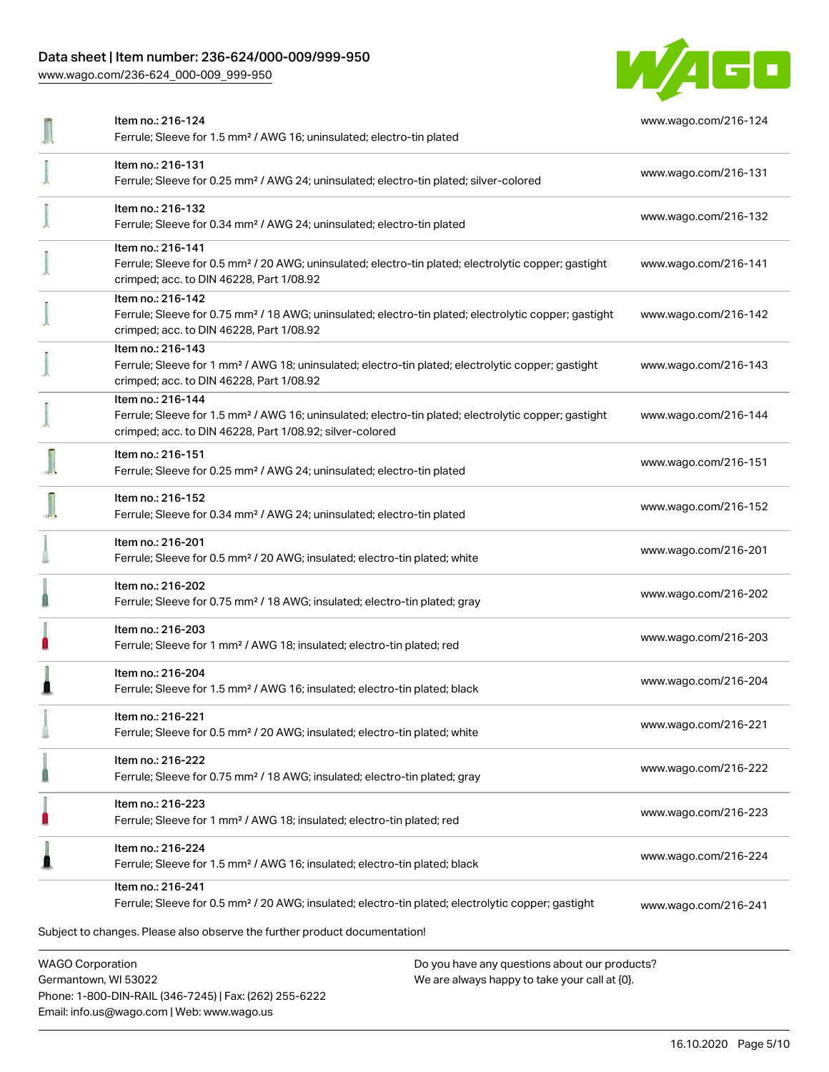# Data sheet | Item number: 236-624/000-009/999-950

Phone: 1-800-DIN-RAIL (346-7245) | Fax: (262) 255-6222

Email: info.us@wago.com | Web: www.wago.us

[www.wago.com/236-624\\_000-009\\_999-950](http://www.wago.com/236-624_000-009_999-950)



|                                                 | Item no.: 216-124<br>Ferrule; Sleeve for 1.5 mm <sup>2</sup> / AWG 16; uninsulated; electro-tin plated                                                                                            |                                                                                                | www.wago.com/216-124 |
|-------------------------------------------------|---------------------------------------------------------------------------------------------------------------------------------------------------------------------------------------------------|------------------------------------------------------------------------------------------------|----------------------|
|                                                 | Item no.: 216-131<br>Ferrule; Sleeve for 0.25 mm <sup>2</sup> / AWG 24; uninsulated; electro-tin plated; silver-colored                                                                           |                                                                                                | www.wago.com/216-131 |
|                                                 | Item no.: 216-132<br>Ferrule; Sleeve for 0.34 mm <sup>2</sup> / AWG 24; uninsulated; electro-tin plated                                                                                           |                                                                                                | www.wago.com/216-132 |
|                                                 | Item no.: 216-141<br>Ferrule; Sleeve for 0.5 mm <sup>2</sup> / 20 AWG; uninsulated; electro-tin plated; electrolytic copper; gastight<br>crimped; acc. to DIN 46228, Part 1/08.92                 |                                                                                                | www.wago.com/216-141 |
|                                                 | Item no.: 216-142<br>Ferrule; Sleeve for 0.75 mm <sup>2</sup> / 18 AWG; uninsulated; electro-tin plated; electrolytic copper; gastight<br>crimped; acc. to DIN 46228, Part 1/08.92                |                                                                                                | www.wago.com/216-142 |
|                                                 | Item no.: 216-143<br>Ferrule; Sleeve for 1 mm <sup>2</sup> / AWG 18; uninsulated; electro-tin plated; electrolytic copper; gastight<br>crimped; acc. to DIN 46228, Part 1/08.92                   |                                                                                                | www.wago.com/216-143 |
|                                                 | Item no.: 216-144<br>Ferrule; Sleeve for 1.5 mm <sup>2</sup> / AWG 16; uninsulated; electro-tin plated; electrolytic copper; gastight<br>crimped; acc. to DIN 46228, Part 1/08.92; silver-colored |                                                                                                | www.wago.com/216-144 |
|                                                 | Item no.: 216-151<br>Ferrule; Sleeve for 0.25 mm <sup>2</sup> / AWG 24; uninsulated; electro-tin plated                                                                                           |                                                                                                | www.wago.com/216-151 |
|                                                 | Item no.: 216-152<br>Ferrule; Sleeve for 0.34 mm <sup>2</sup> / AWG 24; uninsulated; electro-tin plated                                                                                           |                                                                                                | www.wago.com/216-152 |
|                                                 | Item no.: 216-201<br>Ferrule; Sleeve for 0.5 mm <sup>2</sup> / 20 AWG; insulated; electro-tin plated; white                                                                                       |                                                                                                | www.wago.com/216-201 |
|                                                 | Item no.: 216-202<br>Ferrule; Sleeve for 0.75 mm <sup>2</sup> / 18 AWG; insulated; electro-tin plated; gray                                                                                       |                                                                                                | www.wago.com/216-202 |
|                                                 | Item no.: 216-203<br>Ferrule; Sleeve for 1 mm <sup>2</sup> / AWG 18; insulated; electro-tin plated; red                                                                                           |                                                                                                | www.wago.com/216-203 |
|                                                 | Item no.: 216-204<br>Ferrule; Sleeve for 1.5 mm <sup>2</sup> / AWG 16; insulated; electro-tin plated; black                                                                                       |                                                                                                | www.wago.com/216-204 |
|                                                 | Item no.: 216-221<br>Ferrule; Sleeve for 0.5 mm <sup>2</sup> / 20 AWG; insulated; electro-tin plated; white                                                                                       |                                                                                                | www.wago.com/216-221 |
|                                                 | Item no.: 216-222<br>Ferrule; Sleeve for 0.75 mm <sup>2</sup> / 18 AWG; insulated; electro-tin plated; gray                                                                                       |                                                                                                | www.wago.com/216-222 |
|                                                 | Item no.: 216-223<br>Ferrule; Sleeve for 1 mm <sup>2</sup> / AWG 18; insulated; electro-tin plated; red                                                                                           |                                                                                                | www.wago.com/216-223 |
|                                                 | Item no.: 216-224<br>Ferrule; Sleeve for 1.5 mm <sup>2</sup> / AWG 16; insulated; electro-tin plated; black                                                                                       |                                                                                                | www.wago.com/216-224 |
|                                                 | Item no.: 216-241<br>Ferrule; Sleeve for 0.5 mm <sup>2</sup> / 20 AWG; insulated; electro-tin plated; electrolytic copper; gastight                                                               |                                                                                                | www.wago.com/216-241 |
|                                                 | Subject to changes. Please also observe the further product documentation!                                                                                                                        |                                                                                                |                      |
| <b>WAGO Corporation</b><br>Germantown, WI 53022 |                                                                                                                                                                                                   | Do you have any questions about our products?<br>We are always happy to take your call at {0}. |                      |

16.10.2020 Page 5/10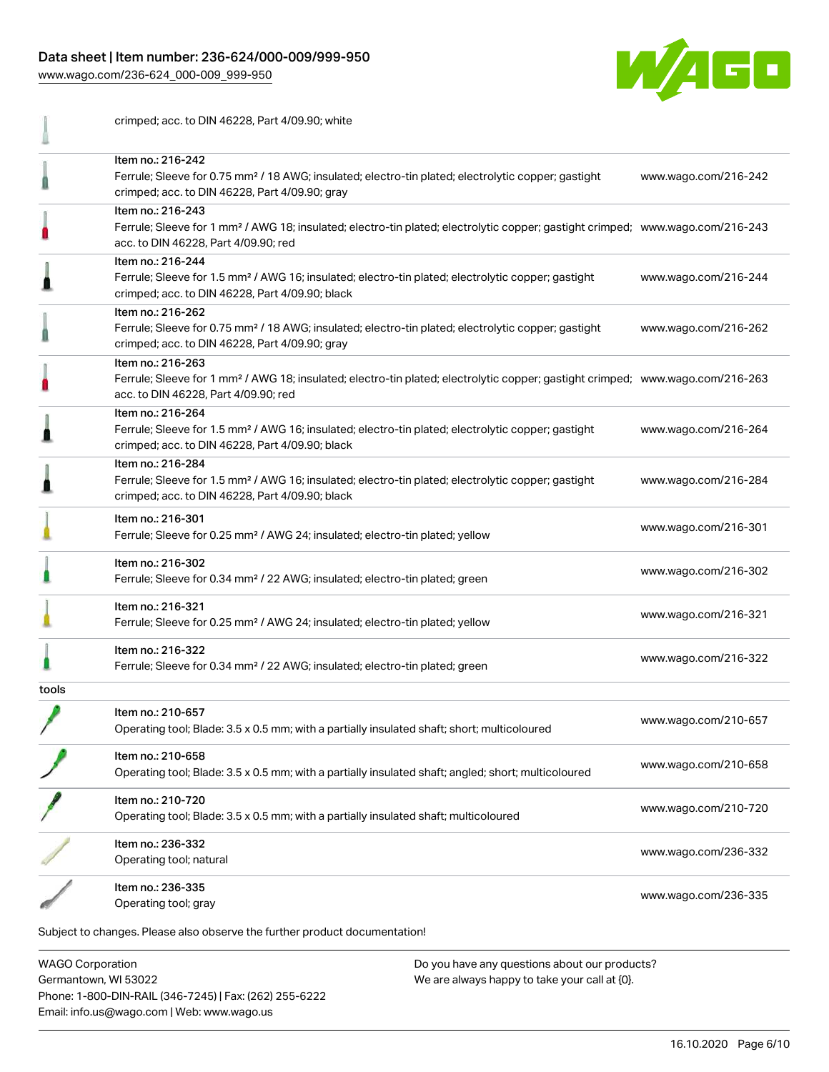#### Data sheet | Item number: 236-624/000-009/999-950

[www.wago.com/236-624\\_000-009\\_999-950](http://www.wago.com/236-624_000-009_999-950)



crimped; acc. to DIN 46228, Part 4/09.90; white Item no.: 216-242 Ferrule; Sleeve for 0.75 mm² / 18 AWG; insulated; electro-tin plated; electrolytic copper; gastight [www.wago.com/216-242](http://www.wago.com/216-242) Ω crimped; acc. to DIN 46228, Part 4/09.90; gray Item no.: 216-243 Ferrule; Sleeve for 1 mm² / AWG 18; insulated; electro-tin plated; electrolytic copper; gastight crimped; [www.wago.com/216-243](http://www.wago.com/216-243) acc. to DIN 46228, Part 4/09.90; red Item no.: 216-244 Ferrule; Sleeve for 1.5 mm² / AWG 16; insulated; electro-tin plated; electrolytic copper; gastight [www.wago.com/216-244](http://www.wago.com/216-244) ≞ crimped; acc. to DIN 46228, Part 4/09.90; black Item no.: 216-262 Ferrule; Sleeve for 0.75 mm² / 18 AWG; insulated; electro-tin plated; electrolytic copper; gastight [www.wago.com/216-262](http://www.wago.com/216-262) Ω crimped; acc. to DIN 46228, Part 4/09.90; gray Item no.: 216-263 Ferrule; Sleeve for 1 mm² / AWG 18; insulated; electro-tin plated; electrolytic copper; gastight crimped; [www.wago.com/216-263](http://www.wago.com/216-263) acc. to DIN 46228, Part 4/09.90; red Item no.: 216-264 Ferrule; Sleeve for 1.5 mm² / AWG 16; insulated; electro-tin plated; electrolytic copper; gastight [www.wago.com/216-264](http://www.wago.com/216-264) crimped; acc. to DIN 46228, Part 4/09.90; black Item no.: 216-284 Ferrule; Sleeve for 1.5 mm² / AWG 16; insulated; electro-tin plated; electrolytic copper; gastight [www.wago.com/216-284](http://www.wago.com/216-284) crimped; acc. to DIN 46228, Part 4/09.90; black Item no.: 216-301 Ferrule; Sleeve for 0.25 mm² / AWG 24; insulated; electro-tin plated; yellow [www.wago.com/216-301](http://www.wago.com/216-301) Item no.: 216-302 Ferrule; Sleeve for 0.34 mm² / 22 AWG; insulated; electro-tin plated; green [www.wago.com/216-302](http://www.wago.com/216-302) Item no.: 216-321 Ferrule; Sleeve for 0.25 mm² / AWG 24; insulated; electro-tin plated; yellow [www.wago.com/216-321](http://www.wago.com/216-321) Item no.: 216-322 Ferrule; Sleeve for 0.34 mm² / 22 AWG; insulated; electro-tin plated; green [www.wago.com/216-322](http://www.wago.com/216-322) tools Item no.: 210-657 Operating tool; Blade: 3.5 x 0.5 mm; with a partially insulated shaft; short; multicoloured [www.wago.com/210-657](http://www.wago.com/210-657) Item no.: 210-658 Operating tool; Blade: 3.5 x 0.5 mm; with a partially insulated shaft; angled; short; multicoloured [www.wago.com/210-658](http://www.wago.com/210-658) Item no.: 210-720 Nettrition: 210.720<br>Operating tool; Blade: 3.5 x 0.5 mm; with a partially insulated shaft; multicoloured [www.wago.com/210-720](http://www.wago.com/210-720) Item no.: 236-332 Operating tool; natural [www.wago.com/236-332](http://www.wago.com/236-332)<br>Operating tool; natural Item no.: 236-335 Operating tool; gray [www.wago.com/236-335](http://www.wago.com/236-335)<br>
Operating tool; gray Subject to changes. Please also observe the further product documentation!

WAGO Corporation Germantown, WI 53022 Phone: 1-800-DIN-RAIL (346-7245) | Fax: (262) 255-6222 Email: info.us@wago.com | Web: www.wago.us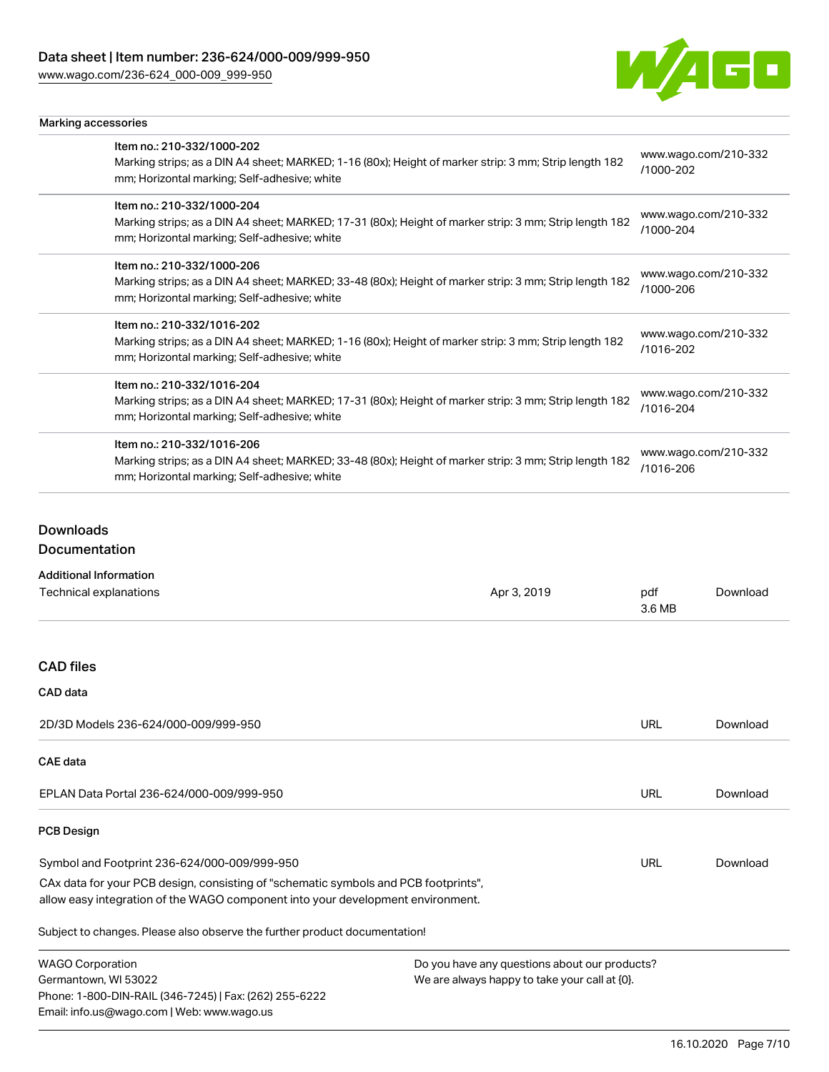[www.wago.com/236-624\\_000-009\\_999-950](http://www.wago.com/236-624_000-009_999-950)

Marking accessories



| Item no.: 210-332/1000-202<br>Marking strips; as a DIN A4 sheet; MARKED; 1-16 (80x); Height of marker strip: 3 mm; Strip length 182<br>mm; Horizontal marking; Self-adhesive; white  | www.wago.com/210-332<br>/1000-202 |  |  |  |
|--------------------------------------------------------------------------------------------------------------------------------------------------------------------------------------|-----------------------------------|--|--|--|
| Item no.: 210-332/1000-204<br>Marking strips; as a DIN A4 sheet; MARKED; 17-31 (80x); Height of marker strip: 3 mm; Strip length 182<br>mm; Horizontal marking; Self-adhesive; white | www.wago.com/210-332<br>/1000-204 |  |  |  |
| Item no.: 210-332/1000-206<br>Marking strips; as a DIN A4 sheet; MARKED; 33-48 (80x); Height of marker strip: 3 mm; Strip length 182<br>mm; Horizontal marking; Self-adhesive; white | www.wago.com/210-332<br>/1000-206 |  |  |  |
| Item no.: 210-332/1016-202<br>Marking strips; as a DIN A4 sheet; MARKED; 1-16 (80x); Height of marker strip: 3 mm; Strip length 182<br>mm; Horizontal marking; Self-adhesive; white  | www.wago.com/210-332<br>/1016-202 |  |  |  |
| Item no.: 210-332/1016-204<br>Marking strips; as a DIN A4 sheet; MARKED; 17-31 (80x); Height of marker strip: 3 mm; Strip length 182<br>mm; Horizontal marking; Self-adhesive; white | www.wago.com/210-332<br>/1016-204 |  |  |  |
| Item no.: 210-332/1016-206<br>Marking strips; as a DIN A4 sheet; MARKED; 33-48 (80x); Height of marker strip: 3 mm; Strip length 182<br>mm; Horizontal marking; Self-adhesive; white | www.wago.com/210-332<br>/1016-206 |  |  |  |

# Downloads

#### Documentation

| <b>Additional Information</b>                                                                                                                                          |                                                                                                |               |          |
|------------------------------------------------------------------------------------------------------------------------------------------------------------------------|------------------------------------------------------------------------------------------------|---------------|----------|
| Technical explanations                                                                                                                                                 | Apr 3, 2019                                                                                    | pdf<br>3.6 MB | Download |
|                                                                                                                                                                        |                                                                                                |               |          |
| <b>CAD files</b>                                                                                                                                                       |                                                                                                |               |          |
| CAD data                                                                                                                                                               |                                                                                                |               |          |
| 2D/3D Models 236-624/000-009/999-950                                                                                                                                   |                                                                                                | <b>URL</b>    | Download |
| <b>CAE data</b>                                                                                                                                                        |                                                                                                |               |          |
| EPLAN Data Portal 236-624/000-009/999-950                                                                                                                              |                                                                                                | <b>URL</b>    | Download |
| <b>PCB Design</b>                                                                                                                                                      |                                                                                                |               |          |
| Symbol and Footprint 236-624/000-009/999-950                                                                                                                           |                                                                                                |               | Download |
| CAx data for your PCB design, consisting of "schematic symbols and PCB footprints",<br>allow easy integration of the WAGO component into your development environment. |                                                                                                |               |          |
| Subject to changes. Please also observe the further product documentation!                                                                                             |                                                                                                |               |          |
| <b>WAGO Corporation</b><br>Germantown, WI 53022<br>Phone: 1-800-DIN-RAIL (346-7245)   Fax: (262) 255-6222<br>Email: info.us@wago.com   Web: www.wago.us                | Do you have any questions about our products?<br>We are always happy to take your call at {0}. |               |          |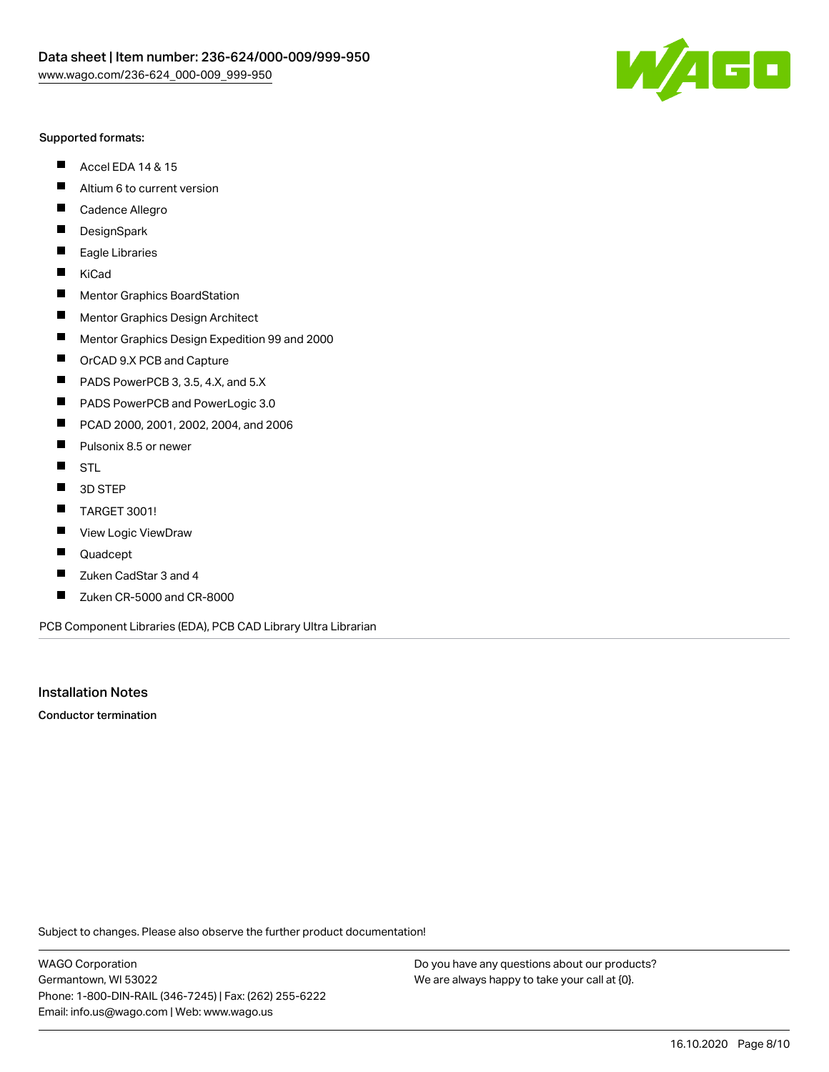

#### Supported formats:

- $\blacksquare$ Accel EDA 14 & 15
- $\blacksquare$ Altium 6 to current version
- $\blacksquare$ Cadence Allegro
- $\blacksquare$ **DesignSpark**
- $\blacksquare$ Eagle Libraries
- $\blacksquare$ KiCad
- $\blacksquare$ Mentor Graphics BoardStation
- $\blacksquare$ Mentor Graphics Design Architect
- $\blacksquare$ Mentor Graphics Design Expedition 99 and 2000
- $\blacksquare$ OrCAD 9.X PCB and Capture
- $\blacksquare$ PADS PowerPCB 3, 3.5, 4.X, and 5.X
- $\blacksquare$ PADS PowerPCB and PowerLogic 3.0
- $\blacksquare$ PCAD 2000, 2001, 2002, 2004, and 2006
- $\blacksquare$ Pulsonix 8.5 or newer
- $\blacksquare$ STL
- 3D STEP П
- $\blacksquare$ TARGET 3001!
- $\blacksquare$ View Logic ViewDraw
- П Quadcept
- Zuken CadStar 3 and 4  $\blacksquare$
- Zuken CR-5000 and CR-8000 П

PCB Component Libraries (EDA), PCB CAD Library Ultra Librarian

Installation Notes

Conductor termination

Subject to changes. Please also observe the further product documentation!

WAGO Corporation Germantown, WI 53022 Phone: 1-800-DIN-RAIL (346-7245) | Fax: (262) 255-6222 Email: info.us@wago.com | Web: www.wago.us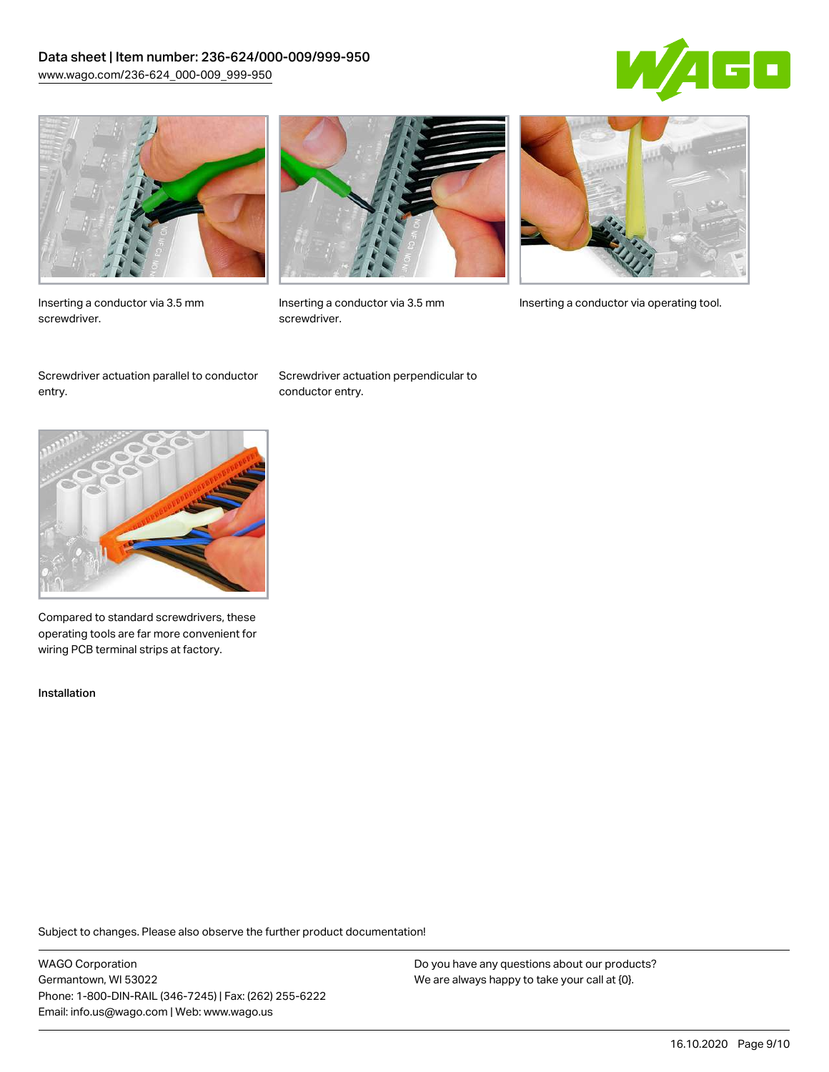# Data sheet | Item number: 236-624/000-009/999-950 [www.wago.com/236-624\\_000-009\\_999-950](http://www.wago.com/236-624_000-009_999-950)





Inserting a conductor via 3.5 mm screwdriver.



screwdriver.

Inserting a conductor via 3.5 mm Inserting a conductor via operating tool.

Screwdriver actuation parallel to conductor entry.

Screwdriver actuation perpendicular to conductor entry.



Compared to standard screwdrivers, these operating tools are far more convenient for wiring PCB terminal strips at factory.

Installation

Subject to changes. Please also observe the further product documentation!

WAGO Corporation Germantown, WI 53022 Phone: 1-800-DIN-RAIL (346-7245) | Fax: (262) 255-6222 Email: info.us@wago.com | Web: www.wago.us